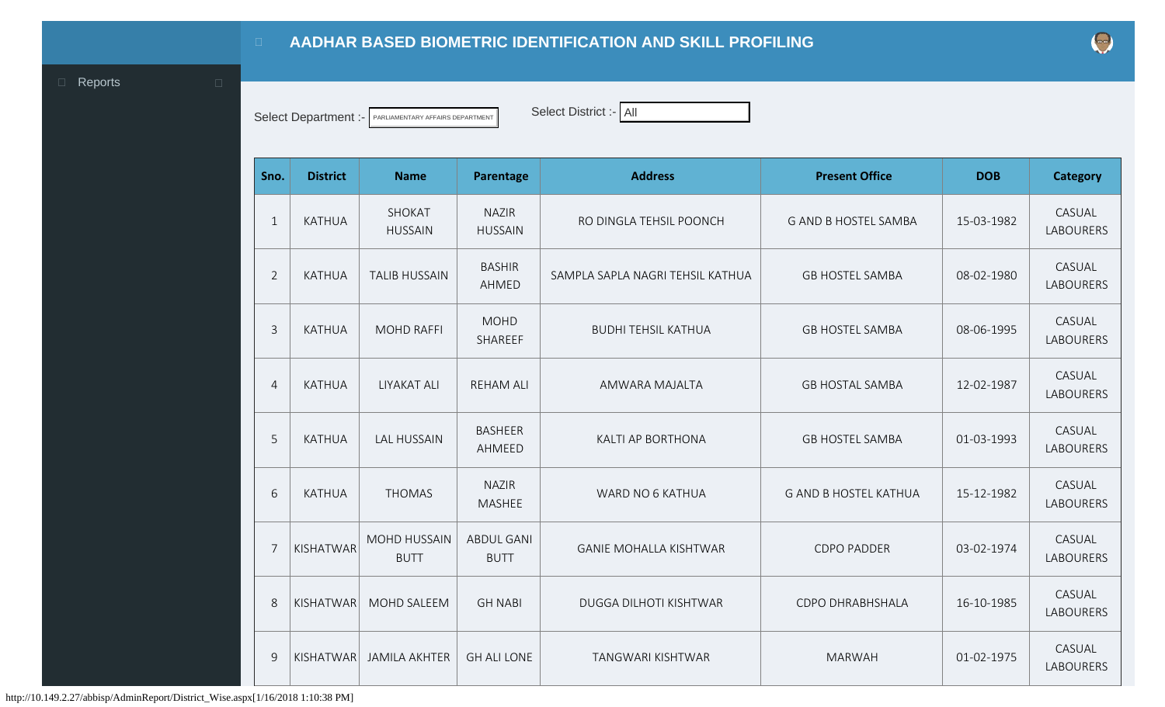## **AADHAR BASED BIOMETRIC IDENTIFICATION AND SKILL PROFILING**

<span id="page-0-0"></span>**Exercise Exercise Exercise Exercise Exercise Exercise Exercise Exercise Exercise Exercise Exercise Exercise** 

Select Department :- PARLIAMENTARY AFFAIRS DEPARTMENT Select District :- All

| Sno.           | <b>District</b> | <b>Name</b>                        | <b>Parentage</b>                 | <b>Address</b>                   | <b>Present Office</b>        | <b>DOB</b> | <b>Category</b>            |
|----------------|-----------------|------------------------------------|----------------------------------|----------------------------------|------------------------------|------------|----------------------------|
| $\mathbf{1}$   | <b>KATHUA</b>   | SHOKAT<br><b>HUSSAIN</b>           | <b>NAZIR</b><br><b>HUSSAIN</b>   | RO DINGLA TEHSIL POONCH          | <b>G AND B HOSTEL SAMBA</b>  | 15-03-1982 | CASUAL<br><b>LABOURERS</b> |
| $\overline{2}$ | <b>KATHUA</b>   | <b>TALIB HUSSAIN</b>               | <b>BASHIR</b><br>AHMED           | SAMPLA SAPLA NAGRI TEHSIL KATHUA | <b>GB HOSTEL SAMBA</b>       | 08-02-1980 | CASUAL<br><b>LABOURERS</b> |
| $\overline{3}$ | <b>KATHUA</b>   | <b>MOHD RAFFI</b>                  | <b>MOHD</b><br>SHAREEF           | <b>BUDHI TEHSIL KATHUA</b>       | <b>GB HOSTEL SAMBA</b>       | 08-06-1995 | CASUAL<br><b>LABOURERS</b> |
| $\overline{4}$ | <b>KATHUA</b>   | <b>LIYAKAT ALI</b>                 | <b>REHAM ALI</b>                 | AMWARA MAJALTA                   | <b>GB HOSTAL SAMBA</b>       | 12-02-1987 | CASUAL<br><b>LABOURERS</b> |
| 5              | <b>KATHUA</b>   | <b>LAL HUSSAIN</b>                 | <b>BASHEER</b><br>AHMEED         | KALTI AP BORTHONA                | <b>GB HOSTEL SAMBA</b>       | 01-03-1993 | CASUAL<br><b>LABOURERS</b> |
| 6              | <b>KATHUA</b>   | <b>THOMAS</b>                      | <b>NAZIR</b><br><b>MASHEE</b>    | WARD NO 6 KATHUA                 | <b>G AND B HOSTEL KATHUA</b> | 15-12-1982 | CASUAL<br><b>LABOURERS</b> |
| $\overline{7}$ | KISHATWAR       | <b>MOHD HUSSAIN</b><br><b>BUTT</b> | <b>ABDUL GANI</b><br><b>BUTT</b> | <b>GANIE MOHALLA KISHTWAR</b>    | <b>CDPO PADDER</b>           | 03-02-1974 | CASUAL<br><b>LABOURERS</b> |
| 8              | KISHATWAR       | MOHD SALEEM                        | <b>GH NABI</b>                   | DUGGA DILHOTI KISHTWAR           | CDPO DHRABHSHALA             | 16-10-1985 | CASUAL<br>LABOURERS        |
| 9              | KISHATWAR       | <b>JAMILA AKHTER</b>               | <b>GH ALI LONE</b>               | TANGWARI KISHTWAR                | <b>MARWAH</b>                | 01-02-1975 | CASUAL<br><b>LABOURERS</b> |

http://10.149.2.27/abbisp/AdminReport/District\_Wise.aspx[1/16/2018 1:10:38 PM]